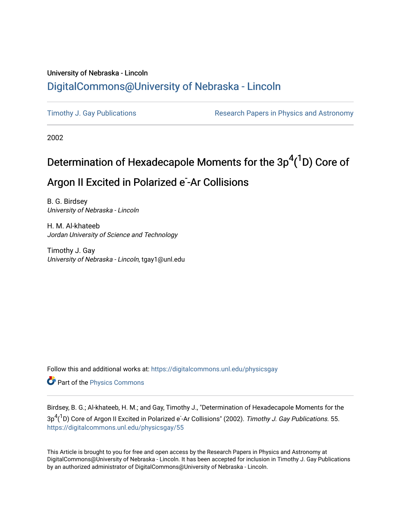## University of Nebraska - Lincoln [DigitalCommons@University of Nebraska - Lincoln](https://digitalcommons.unl.edu/)

[Timothy J. Gay Publications](https://digitalcommons.unl.edu/physicsgay) **Research Papers in Physics and Astronomy** 

2002

# Determination of Hexadecapole Moments for the  $3p^4(^1D)$  Core of Argon II Excited in Polarized e<sup>-</sup>Ar Collisions

B. G. Birdsey University of Nebraska - Lincoln

H. M. Al-khateeb Jordan University of Science and Technology

Timothy J. Gay University of Nebraska - Lincoln, tgay1@unl.edu

Follow this and additional works at: [https://digitalcommons.unl.edu/physicsgay](https://digitalcommons.unl.edu/physicsgay?utm_source=digitalcommons.unl.edu%2Fphysicsgay%2F55&utm_medium=PDF&utm_campaign=PDFCoverPages)

Part of the [Physics Commons](http://network.bepress.com/hgg/discipline/193?utm_source=digitalcommons.unl.edu%2Fphysicsgay%2F55&utm_medium=PDF&utm_campaign=PDFCoverPages)

Birdsey, B. G.; Al-khateeb, H. M.; and Gay, Timothy J., "Determination of Hexadecapole Moments for the  $3\mathsf{p}^4(^1\mathsf{D})$  Core of Argon II Excited in Polarized e-Ar Collisions" (2002). *Timothy J. Gay Publications*. 55. [https://digitalcommons.unl.edu/physicsgay/55](https://digitalcommons.unl.edu/physicsgay/55?utm_source=digitalcommons.unl.edu%2Fphysicsgay%2F55&utm_medium=PDF&utm_campaign=PDFCoverPages) 

This Article is brought to you for free and open access by the Research Papers in Physics and Astronomy at DigitalCommons@University of Nebraska - Lincoln. It has been accepted for inclusion in Timothy J. Gay Publications by an authorized administrator of DigitalCommons@University of Nebraska - Lincoln.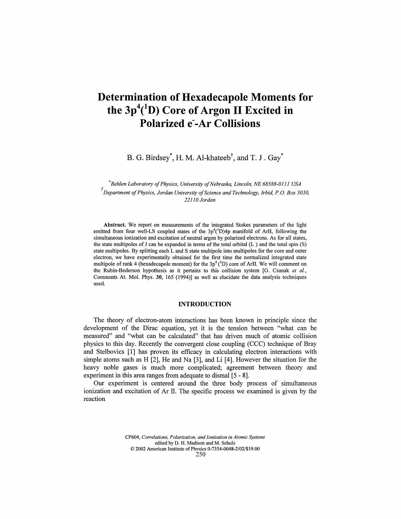# **Determination of Hexadecapole Moments for** the 3p<sup>4</sup>(<sup>1</sup>D) Core of Argon II Excited in **Polarized e"-Ar Collisions**

B. G. Birdsey\*, H. M. Al-khateeb $^{\dagger}$ , and T. J . Gay $^*$ 

*Behlen Laboratory of Physics, University of Nebraska, Lincoln, NE 68588-0111 USA Department of Physics, Jordan University of Science and Technology, Irbid, P. O. Box 3030, 22110 Jordan*

**Abstract.** We report on measurements of the integrated Stokes parameters of the light emitted from four well-LS coupled states of the  $3p^4(^1D)4p$  manifold of ArII, following the simultaneous ionization and excitation of neutral argon by polarized electrons. As for all states, the state multipoles of J can be expanded in terms of the total orbital (L ) and the total spin (S) state multipoles. By splitting each L and S state multipole into multipoles for the core and outer electron, we have experimentally obtained for the first time the normalized integrated state multipole of rank 4 (hexadecapole moment) for the  $3p^4(^1D)$  core of ArII. We will comment on the Rubin-Bederson hypothesis as it pertains to this collision system [G. Csanak *et* a/., Comments At. Mol. Phys. **30,** 165 (1994)] as well as elucidate the data analysis techniques used.

## **INTRODUCTION**

The theory of electron-atom interactions has been known in principle since the development of the Dirac equation, yet it is the tension between "what can be measured" and "what can be calculated" that has driven much of atomic collision physics to this day. Recently the convergent close coupling (CCC) technique of Bray and Stelbovics [1] has proven its efficacy in calculating electron interactions with simple atoms such as H [2], He and Na [3], and Li [4]. However the situation for the heavy noble gases is much more complicated; agreement between theory and experiment in this area ranges from adequate to dismal [5 - 8].

Our experiment is centered around the three body process of simultaneous ionization and excitation of Ar II. The specific process we examined is given by the reaction

> CP604, *Correlations, Polarization, and Ionization in Atomic Systems* edited by D. H. Madison and M. Schulz © 2002 American Institute of Phvsics 0-73 54-0048-2/027\$ 19.00 250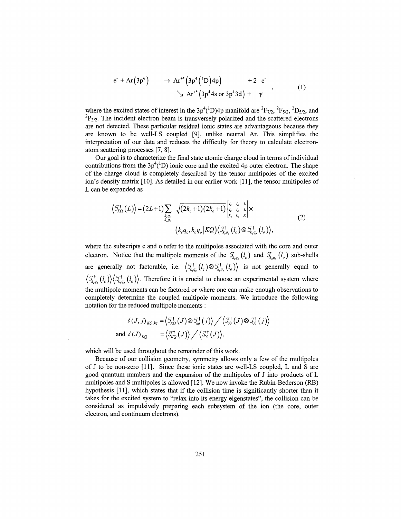$$
e^{\cdot} + Ar(3p^6) \rightarrow Ar^{**}(3p^4(^1D)4p) + 2 e^{\cdot}
$$
  
\n
$$
\rightarrow Ar^{**}(3p^44s \text{ or } 3p^43d) + \gamma
$$
 (1)

where the excited states of interest in the  $3p^4(^1D)4p$  manifold are  ${}^{2}F_{7/2}$ ,  ${}^{2}F_{5/2}$ ,  ${}^{2}D_{5/2}$ , and  ${}^{2}P_{3/2}$ . The incident electron beam is transversely polarized and the scattered electrons are not detected. These particular residual ionic states are advantageous because they are known to be well-LS coupled [9], unlike neutral Ar. This simplifies the interpretation of our data and reduces the difficulty for theory to calculate electronatom scattering processes [7, 8].

Our goal is to characterize the final state atomic charge cloud in terms of individual contributions from the  $3p^4(^1D)$  ionic core and the excited 4p outer electron. The shape of the charge cloud is completely described by the tensor multipoles of the excited ion's density matrix [10]. As detailed in our earlier work [11], the tensor multipoles of L can be expanded as

$$
\left\langle \mathcal{I}_{KQ}^{\dagger}(L) \right\rangle = (2L+1) \sum_{\substack{k,q_c \\ k_{\sigma q_o}}} \sqrt{(2k_c+1)(2k_o+1)} \begin{cases} l_c & l_o & L \\ l_c & l_o & L \\ k_c & k_o & K \end{cases} \times (2)
$$
\n
$$
\left( k_c q_c, k_o q_o | KQ \right) \left\langle \mathcal{I}_{k,q_c}^{\dagger}(l_c) \otimes \mathcal{I}_{k,q_o}^{\dagger}(l_o) \right\rangle,
$$
\n
$$
(2)
$$

where the subscripts c and o refer to the multipoles associated with the core and outer electron. Notice that the multipole moments of the  $\mathcal{I}_{k,q_c}(l_c)$  and  $\mathcal{I}_{k,q_c}(l_o)$  sub-shells are generally not factorable, i.e.  $\left\langle \mathcal{I}_{k,q_{c}}^{\dagger}(l_{c})\otimes \mathcal{I}_{k,q_{c}}^{\dagger}(l_{o})\right\rangle$  is not generally equal to  $\langle \mathcal{I}^{\dagger}_{k,q_c} (l_c) \rangle \langle \mathcal{I}^{\dagger}_{k,q_c} (l_o) \rangle$ . Therefore it is crucial to choose an experimental system where the multipole moments can be factored or where one can make enough observations to completely determine the coupled multipole moments. We introduce the following notation for the reduced multipole moments :

$$
\begin{aligned}\n\mathcal{L}(J, j)_{KQ, kq} &= \left\langle \mathcal{I}_{KQ}^{\dagger}(J) \otimes \mathcal{I}_{kq}^{\dagger}(j) \right\rangle \bigg/ \left\langle \mathcal{I}_{00}^{\dagger}(J) \otimes \mathcal{I}_{00}^{\dagger}(j) \right\rangle \\
\text{and } \mathcal{L}(J)_{KQ} &= \left\langle \mathcal{I}_{KQ}^{\dagger}(J) \right\rangle \bigg/ \left\langle \mathcal{I}_{00}^{\dagger}(J) \right\rangle,\n\end{aligned}
$$

which will be used throughout the remainder of this work.

Because of our collision geometry, symmetry allows only a few of the multipoles of J to be non-zero [11]. Since these ionic states are well-LS coupled, L and S are good quantum numbers and the expansion of the multipoles of J into products of L multipoles and S multipoles is allowed [12]. We now invoke the Rubin-Bederson (RB) hypothesis [11], which states that if the collision time is significantly shorter than it takes for the excited system to "relax into its energy eigenstates", the collision can be considered as impulsively preparing each subsystem of the ion (the core, outer electron, and continuum electrons).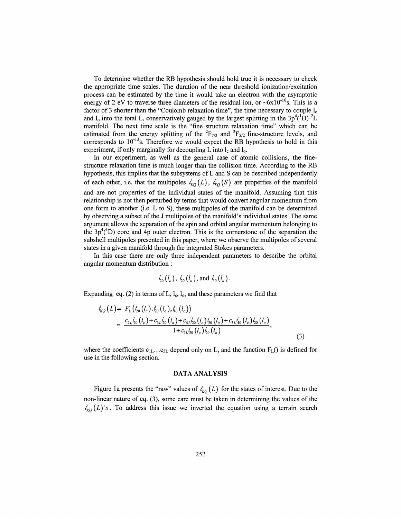To determine whether the RB hypothesis should hold true it is necessary to check the appropriate time scales. The duration of the near threshold ionization/excitation process can be estimated by the time it would take an electron with the asymptotic energy of 2 eV to traverse three diameters of the residual ion, or  $-\frac{6x}{10^{-16}}$ s. This is a factor of 3 shorter than the "Coulomb relaxation time", the time necessary to couple  $l_c$ and  $l_0$  into the total L, conservatively gauged by the largest splitting in the  $3p^4(^1D)^2I$ manifold. The next time scale is the "fine structure relaxation time" which can be estimated from the energy splitting of the  ${}^{2}F_{7/2}$  and  ${}^{2}F_{5/2}$  fine-structure levels, and corresponds to  $10^{-13}$ s. Therefore we would expect the RB hypothesis to hold in this experiment, if only marginally for decoupling  $L$  into  $l_c$  and  $l_o$ .

In our experiment, as well as the general case of atomic collisions, the finestructure relaxation time is much longer than the collision time. According to the RB hypothesis, this implies that the subsystems of L and S can be described independently of each other, i.e. that the multipoles  $l_{KQ}(L)$ ,  $l_{KQ}(S)$  are properties of the manifold and are not properties of the individual states of the manifold. Assuming that this relationship is not then perturbed by terms that would convert angular momentum from one form to another (i.e. L to S), these multipoles of the manifold can be determined by observing a subset of the J multipoles of the manifold's individual states. The same argument allows the separation of the spin and orbital angular momentum belonging to the  $3p^4$ <sup>(1</sup>D) core and 4p outer electron. This is the cornerstone of the separation the subshell multipoles presented in this paper, where we observe the multipoles of several states in a given manifold through the integrated Stokes parameters.

In this case there are only three independent parameters to describe the orbital angular momentum distribution :

$$
t_{20}(l_c)
$$
,  $t_{20}(l_o)$ , and  $t_{40}(l_o)$ .

Expanding eq. (2) in terms of L,  $l_c$ ,  $l_o$ , and these parameters we find that

$$
\begin{split} t_{KQ}(L) &= F_L\left(t_{20}\left(l_c\right), t_{20}\left(l_o\right), t_{40}\left(l_c\right)\right) \\ &= \frac{c_{2L}t_{20}\left(l_c\right) + c_{3L}t_{20}\left(l_o\right) + c_{4L}t_{20}\left(l_c\right)t_{20}\left(l_o\right) + c_{5L}t_{40}\left(l_c\right)t_{20}\left(l_o\right)}{1 + c_{1L}t_{20}\left(l_c\right)t_{20}\left(l_o\right)}, \end{split} \tag{3}
$$

where the coefficients  $c_{1L}...c_{5L}$  depend only on L, and the function  $F_{L}()$  is defined for use in the following section.

#### **DATA ANALYSIS**

Figure 1a presents the "raw" values of  $\ell_{KQ}(L)$  for the states of interest. Due to the non-linear nature of eq. (3), some care must be taken in determining the values of the  $t_{\kappa 0}(L)$ 's. To address this issue we inverted the equation using a terrain search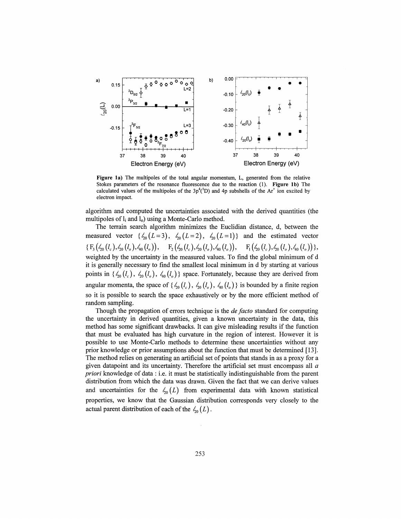

**Figure la)** The multipoles of the total angular momentum, L, generated from the relative Stokes parameters of the resonance fluorescence due to the reaction (1). **Figure Ib)** The calculated values of the multipoles of the  $3p^4(^1D)$  and 4p subshells of the Ar<sup>+</sup> ion excited by electron impact.

algorithm and computed the uncertainties associated with the derived quantities (the multipoles of  $l_i$  and  $l_o$ ) using a Monte-Carlo method.

The terrain search algorithm minimizes the Euclidian distance, d, between the measured vector  $\{\zeta_0(L = 3), \zeta_0(L = 2), \zeta_0(L = 1)\}$  and the estimated vector  $\{F_3(\zeta_0(l_c), \zeta_0(l_o), \zeta_0(l_o)), \quad F_2(\zeta_0(l_c), \zeta_0(l_o), \zeta_0(l_o)), \quad F_1(\zeta_0(l_c), \zeta_0(l_o), \zeta_0(l_o))\},$ weighted by the uncertainty in the measured values. To find the global minimum of d it is generally necessary to find the smallest local minimum in d by starting at various points in  $\{\zeta_{0}(l_c), \zeta_{0}(l_o), \zeta_{40}(l_o)\}\$  space. Fortunately, because they are derived from angular momenta, the space of  $\{\zeta_0(l_c), \zeta_0(l_o), \zeta_0(l_o)\}\$ is bounded by a finite region so it is possible to search the space exhaustively or by the more efficient method of random sampling.

Though the propagation of errors technique is the *de facto* standard for computing the uncertainty in derived quantities, given a known uncertainty in the data, this method has some significant drawbacks. It can give misleading results if the function that must be evaluated has high curvature in the region of interest. However it is possible to use Monte-Carlo methods to determine these uncertainties without any prior knowledge or prior assumptions about the function that must be determined [13]. The method relies on generating an artificial set of points that stands in as a proxy for a given datapoint and its uncertainty. Therefore the artificial set must encompass all *a priori* knowledge of data : i.e. it must be statistically indistinguishable from the parent distribution from which the data was drawn. Given the fact that we can derive values and uncertainties for the  $\zeta_0(L)$  from experimental data with known statistical properties, we know that the Gaussian distribution corresponds very closely to the actual parent distribution of each of the  $\zeta_0(L)$ .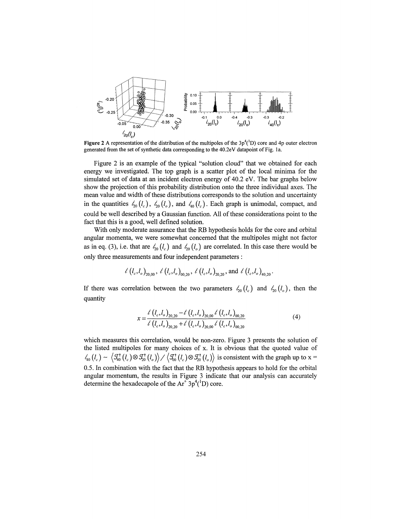

**Figure** 2 A representation of the distribution of the multipoles of the  $3p^4(^1D)$  core and 4p outer electron generated from the set of synthetic data corresponding to the 40.2eV datapoint of Fig. la.

Figure 2 is an example of the typical "solution cloud" that we obtained for each energy we investigated. The top graph is a scatter plot of the local minima for the simulated set of data at an incident electron energy of 40.2 eV. The bar graphs below show the projection of this probability distribution onto the three individual axes. The mean value and width of these distributions corresponds to the solution and uncertainty in the quantities  $\zeta_0(l_c)$ ,  $\zeta_0(l_o)$ , and  $\zeta_0(l_c)$ . Each graph is unimodal, compact, and could be well described by a Gaussian function. All of these considerations point to the fact that this is a good, well defined solution.

With only moderate assurance that the RB hypothesis holds for the core and orbital angular momenta, we were somewhat concerned that the multipoles might not factor as in eq. (3), i.e. that are  $\zeta_0(l_c)$  and  $\zeta_0(l_o)$  are correlated. In this case there would be only three measurements and four independent parameters :

$$
\ell\left(l_c,l_o\right)_{\text{20,00}},\ \ell\left(l_c,l_o\right)_{\text{00,20}},\ \ell\left(l_c,l_o\right)_{\text{20,20}},\text{and}\ \ell\left(l_c,l_o\right)_{\text{40,20}}.
$$

If there was correlation between the two parameters  $t_{20}$  ( $l_c$ ) and  $t_{20}$  ( $l_o$ ), then the quantity

$$
x = \frac{\ell \left(l_c, l_o\right)_{20,20} - \ell \left(l_c, l_o\right)_{20,00} \ell \left(l_c, l_o\right)_{00,20}}{\ell \left(l_c, l_o\right)_{20,20} + \ell \left(l_c, l_o\right)_{20,00} \ell \left(l_c, l_o\right)_{00,20}}\tag{4}
$$

which measures this correlation, would be non-zero. Figure 3 presents the solution of the listed multipoles for many choices of x. It is obvious that the quoted value of  $\chi'_{40}(l_c) \sim \left\langle \mathcal{J}_{40}^{\dagger}(l_c) \otimes \mathcal{J}_{20}^{\dagger}(l_c) \right\rangle / \left\langle \mathcal{J}_{00}^{\dagger}(l_c) \otimes \mathcal{J}_{20}^{\dagger}(l_o) \right\rangle$  is consistent with the graph up to x = 0.5. In combination with the fact that the RB hypothesis appears to hold for the orbital angular momentum, the results in Figure 3 indicate that our analysis can accurately determine the hexadecapole of the  $Ar^2 3p^4(^1D)$  core.